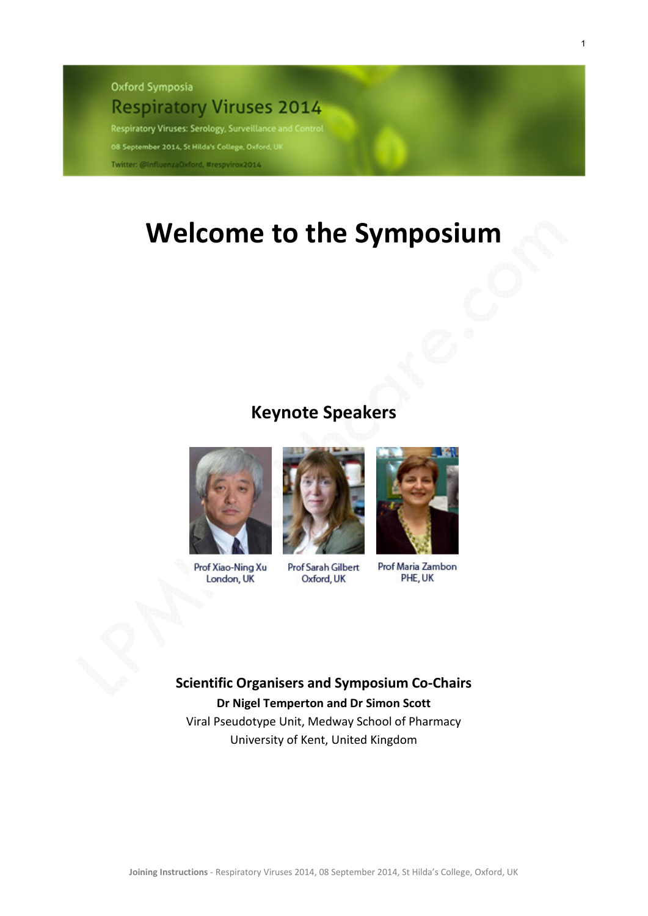**Oxford Symposia Respiratory Viruses 2014** 

Respiratory Viruses: Serology, Surveillance and Control

08 September 2014, St Hilda's College, Oxford, U

Twitter: @InfluenzaOxford, #respvirox2014

## **Welcome to the Symposium**

## **Keynote Speakers**



Prof Xiao-Ning Xu London, UK



**Prof Sarah Gilbert** Oxford, UK



Prof Maria Zambon PHE, UK

**Scientific Organisers and Symposium Co-Chairs Dr Nigel Temperton and Dr Simon Scott**  Viral Pseudotype Unit, Medway School of Pharmacy

University of Kent, United Kingdom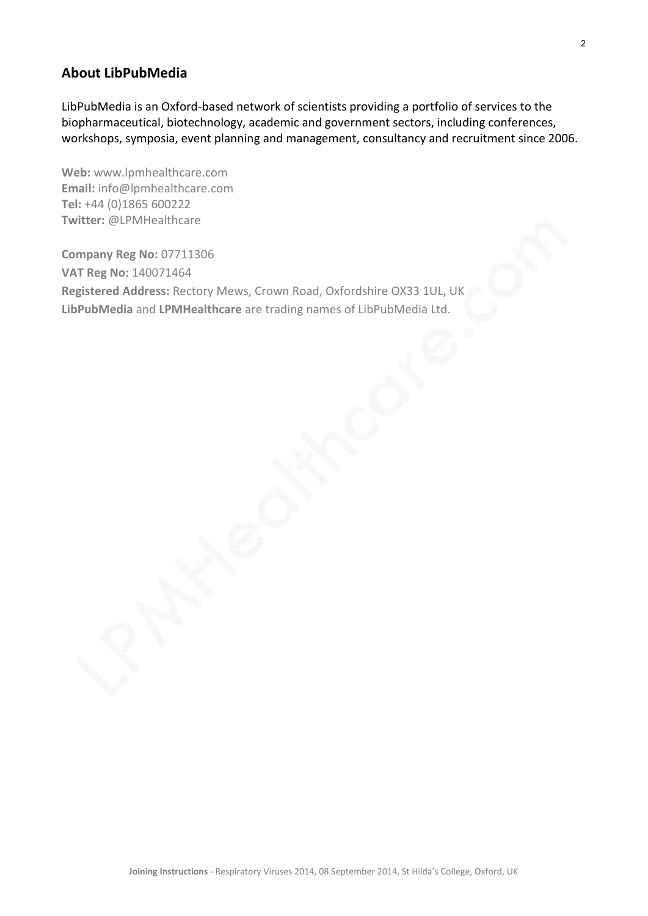## **About LibPubMedia**

LibPubMedia is an Oxford-based network of scientists providing a portfolio of services to the biopharmaceutical, biotechnology, academic and government sectors, including conferences, workshops, symposia, event planning and management, consultancy and recruitment since 2006.

**Web:** www.lpmhealthcare.com **Email:** info@lpmhealthcare.com **Tel:** +44 (0)1865 600222 **Twitter:** @LPMHealthcare

**Company Reg No:** 07711306 **VAT Reg No:** 140071464 **Registered Address:** Rectory Mews, Crown Road, Oxfordshire OX33 1UL, UK **LibPubMedia** and **LPMHealthcare** are trading names of LibPubMedia Ltd.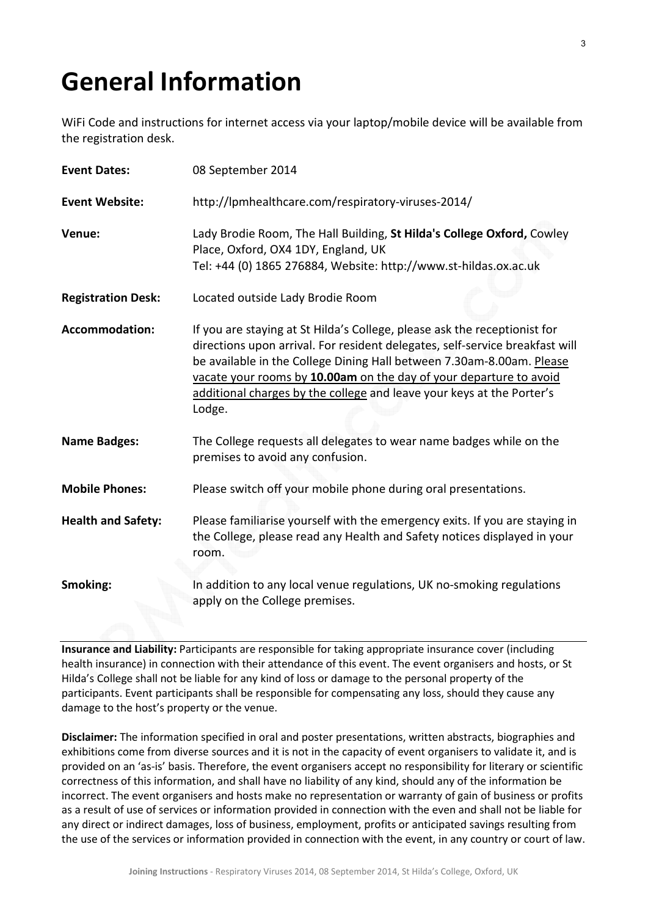## **General Information**

WiFi Code and instructions for internet access via your laptop/mobile device will be available from the registration desk.

| <b>Event Dates:</b>       | 08 September 2014                                                                                                                                                                                                                                                                                                                                                                           |
|---------------------------|---------------------------------------------------------------------------------------------------------------------------------------------------------------------------------------------------------------------------------------------------------------------------------------------------------------------------------------------------------------------------------------------|
| <b>Event Website:</b>     | http://lpmhealthcare.com/respiratory-viruses-2014/                                                                                                                                                                                                                                                                                                                                          |
| Venue:                    | Lady Brodie Room, The Hall Building, St Hilda's College Oxford, Cowley<br>Place, Oxford, OX4 1DY, England, UK<br>Tel: +44 (0) 1865 276884, Website: http://www.st-hildas.ox.ac.uk                                                                                                                                                                                                           |
| <b>Registration Desk:</b> | Located outside Lady Brodie Room                                                                                                                                                                                                                                                                                                                                                            |
| <b>Accommodation:</b>     | If you are staying at St Hilda's College, please ask the receptionist for<br>directions upon arrival. For resident delegates, self-service breakfast will<br>be available in the College Dining Hall between 7.30am-8.00am. Please<br>vacate your rooms by 10.00am on the day of your departure to avoid<br>additional charges by the college and leave your keys at the Porter's<br>Lodge. |
| <b>Name Badges:</b>       | The College requests all delegates to wear name badges while on the<br>premises to avoid any confusion.                                                                                                                                                                                                                                                                                     |
| <b>Mobile Phones:</b>     | Please switch off your mobile phone during oral presentations.                                                                                                                                                                                                                                                                                                                              |
| <b>Health and Safety:</b> | Please familiarise yourself with the emergency exits. If you are staying in<br>the College, please read any Health and Safety notices displayed in your<br>room.                                                                                                                                                                                                                            |
| Smoking:                  | In addition to any local venue regulations, UK no-smoking regulations<br>apply on the College premises.                                                                                                                                                                                                                                                                                     |

**Insurance and Liability:** Participants are responsible for taking appropriate insurance cover (including health insurance) in connection with their attendance of this event. The event organisers and hosts, or St Hilda's College shall not be liable for any kind of loss or damage to the personal property of the participants. Event participants shall be responsible for compensating any loss, should they cause any damage to the host's property or the venue.

**Disclaimer:** The information specified in oral and poster presentations, written abstracts, biographies and exhibitions come from diverse sources and it is not in the capacity of event organisers to validate it, and is provided on an 'as-is' basis. Therefore, the event organisers accept no responsibility for literary or scientific correctness of this information, and shall have no liability of any kind, should any of the information be incorrect. The event organisers and hosts make no representation or warranty of gain of business or profits as a result of use of services or information provided in connection with the even and shall not be liable for any direct or indirect damages, loss of business, employment, profits or anticipated savings resulting from the use of the services or information provided in connection with the event, in any country or court of law.